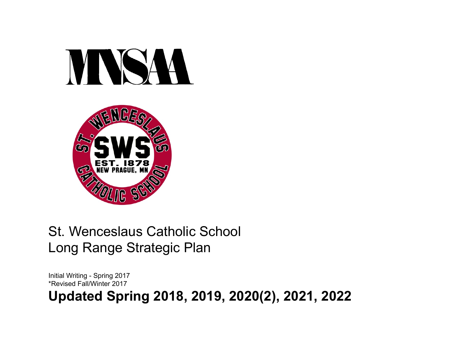



### St. Wenceslaus Catholic School Long Range Strategic Plan

Initial Writing - Spring 2017 \*Revised Fall/Winter 2017

**Updated Spring 2018, 2019, 2020(2), 2021, 2022**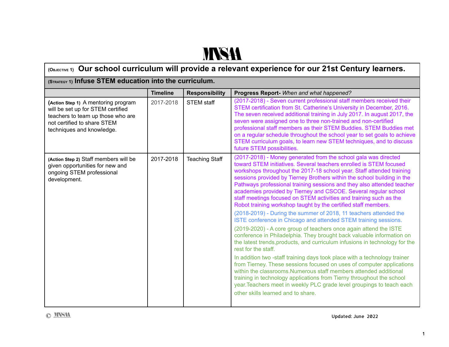# **NNSA**

| (OBJECTIVE 1) Our school curriculum will provide a relevant experience for our 21st Century learners.                                                                     |                 |                       |                                                                                                                                                                                                                                                                                                                                                                                                                                                                                                                                                                                                                                                                                                                                                                                                                                                                                                                                                                                                                                                                                                                                                                                                                                                                                                                                                                                               |  |
|---------------------------------------------------------------------------------------------------------------------------------------------------------------------------|-----------------|-----------------------|-----------------------------------------------------------------------------------------------------------------------------------------------------------------------------------------------------------------------------------------------------------------------------------------------------------------------------------------------------------------------------------------------------------------------------------------------------------------------------------------------------------------------------------------------------------------------------------------------------------------------------------------------------------------------------------------------------------------------------------------------------------------------------------------------------------------------------------------------------------------------------------------------------------------------------------------------------------------------------------------------------------------------------------------------------------------------------------------------------------------------------------------------------------------------------------------------------------------------------------------------------------------------------------------------------------------------------------------------------------------------------------------------|--|
| (STRATEGY 1) Infuse STEM education into the curriculum.                                                                                                                   |                 |                       |                                                                                                                                                                                                                                                                                                                                                                                                                                                                                                                                                                                                                                                                                                                                                                                                                                                                                                                                                                                                                                                                                                                                                                                                                                                                                                                                                                                               |  |
|                                                                                                                                                                           | <b>Timeline</b> | <b>Responsibility</b> | Progress Report- When and what happened?                                                                                                                                                                                                                                                                                                                                                                                                                                                                                                                                                                                                                                                                                                                                                                                                                                                                                                                                                                                                                                                                                                                                                                                                                                                                                                                                                      |  |
| (Action Step 1) A mentoring program<br>will be set up for STEM certified<br>teachers to team up those who are<br>not certified to share STEM<br>techniques and knowledge. | 2017-2018       | <b>STEM staff</b>     | (2017-2018) - Seven current professional staff members received their<br>STEM certification from St. Catherine's University in December, 2016.<br>The seven received additional training in July 2017. In august 2017, the<br>seven were assigned one to three non-trained and non-certified<br>professional staff members as their STEM Buddies. STEM Buddies met<br>on a regular schedule throughout the school year to set goals to achieve<br>STEM curriculum goals, to learn new STEM techniques, and to discuss<br>future STEM possibilities.                                                                                                                                                                                                                                                                                                                                                                                                                                                                                                                                                                                                                                                                                                                                                                                                                                           |  |
| (Action Step 2) Staff members will be<br>given opportunities for new and<br>ongoing STEM professional<br>development.                                                     | 2017-2018       | <b>Teaching Staff</b> | (2017-2018) - Money generated from the school gala was directed<br>toward STEM initiatives. Several teachers enrolled is STEM focused<br>workshops throughout the 2017-18 school year. Staff attended training<br>sessions provided by Tierney Brothers within the school building in the<br>Pathways professional training sessions and they also attended teacher<br>academies provided by Tierney and CSCOE. Several regular school<br>staff meetings focused on STEM activities and training such as the<br>Robot training workshop taught by the certified staff members.<br>(2018-2019) - During the summer of 2018, 11 teachers attended the<br>ISTE conference in Chicago and attended STEM training sessions.<br>(2019-2020) - A core group of teachers once again attend the ISTE<br>conference in Philadelphia. They brought back valuable information on<br>the latest trends, products, and curriculum infusions in technology for the<br>rest for the staff.<br>In addition two -staff training days took place with a technology trainer<br>from Tierney. These sessions focused on uses of computer applications<br>within the classrooms. Numerous staff members attended additional<br>training in technology applications from Tierny throughout the school<br>year. Teachers meet in weekly PLC grade level groupings to teach each<br>other skills learned and to share. |  |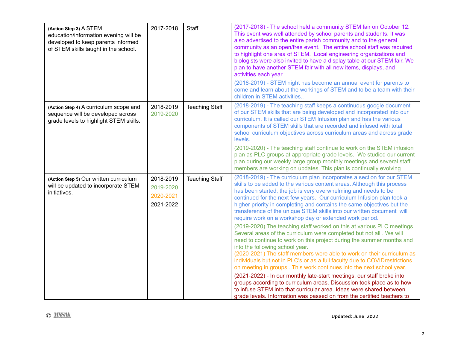| (Action Step 3) A STEM<br>education/information evening will be<br>developed to keep parents informed<br>of STEM skills taught in the school. | 2017-2018                                        | Staff                 | (2017-2018) - The school held a community STEM fair on October 12.<br>This event was well attended by school parents and students. It was<br>also advertised to the entire parish community and to the general<br>community as an open/free event. The entire school staff was required<br>to highlight one area of STEM. Local engineering organizations and<br>biologists were also invited to have a display table at our STEM fair. We<br>plan to have another STEM fair with all new items, displays, and<br>activities each year.<br>(2018-2019) - STEM night has become an annual event for parents to<br>come and learn about the workings of STEM and to be a team with their<br>children in STEM activities                                                                                                                                                                                                                                                                                                                                                                                                                                                                                                                                                                                     |
|-----------------------------------------------------------------------------------------------------------------------------------------------|--------------------------------------------------|-----------------------|-----------------------------------------------------------------------------------------------------------------------------------------------------------------------------------------------------------------------------------------------------------------------------------------------------------------------------------------------------------------------------------------------------------------------------------------------------------------------------------------------------------------------------------------------------------------------------------------------------------------------------------------------------------------------------------------------------------------------------------------------------------------------------------------------------------------------------------------------------------------------------------------------------------------------------------------------------------------------------------------------------------------------------------------------------------------------------------------------------------------------------------------------------------------------------------------------------------------------------------------------------------------------------------------------------------|
| (Action Step 4) A curriculum scope and<br>sequence will be developed across<br>grade levels to highlight STEM skills.                         | 2018-2019<br>2019-2020                           | <b>Teaching Staff</b> | (2018-2019) - The teaching staff keeps a continuous google document<br>of our STEM skills that are being developed and incorporated into our<br>curriculum. It is called our STEM Infusion plan and has the various<br>components of STEM skills that are recorded and infused with total<br>school curriculum objectives across curriculum areas and across grade<br>levels.<br>(2019-2020) - The teaching staff continue to work on the STEM infusion<br>plan as PLC groups at appropriate grade levels. We studied our current<br>plan during our weekly large group monthly meetings and several staff<br>members are working on updates. This plan is continually evolving                                                                                                                                                                                                                                                                                                                                                                                                                                                                                                                                                                                                                           |
| (Action Step 5) Our written curriculum<br>will be updated to incorporate STEM<br>initiatives.                                                 | 2018-2019<br>2019-2020<br>2020-2021<br>2021-2022 | <b>Teaching Staff</b> | (2018-2019) - The curriculum plan incorporates a section for our STEM<br>skills to be added to the various content areas. Although this process<br>has been started, the job is very overwhelming and needs to be<br>continued for the next few years. Our curriculum Infusion plan took a<br>higher priority in completing and contains the same objectives but the<br>transference of the unique STEM skills into our written document will<br>require work on a workshop day or extended work period.<br>(2019-2020) The teaching staff worked on this at various PLC meetings.<br>Several areas of the curriculum were completed but not all. We will<br>need to continue to work on this project during the summer months and<br>into the following school year.<br>(2020-2021) The staff members were able to work on their curriculum as<br>individuals but not in PLC's or as a full faculty due to COVID restrictions<br>on meeting in groups This work continues into the next school year.<br>(2021-2022) - In our monthly late-start meetings, our staff broke into<br>groups according to curriculum areas. Discussion took place as to how<br>to infuse STEM into that curricular area. Ideas were shared between<br>grade levels. Information was passed on from the certified teachers to |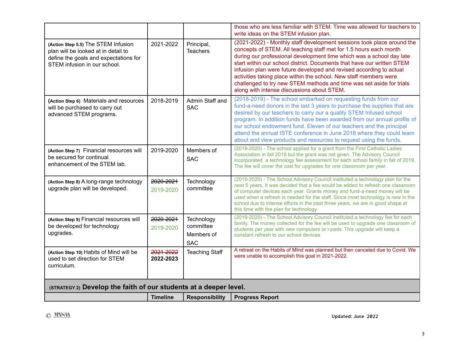|                                                                                                                                                     |                        |                                                     | those who are less familiar with STEM. Time was allowed for teachers to<br>write ideas on the STEM infusion plan.                                                                                                                                                                                                                                                                                                                                                                                                                                               |
|-----------------------------------------------------------------------------------------------------------------------------------------------------|------------------------|-----------------------------------------------------|-----------------------------------------------------------------------------------------------------------------------------------------------------------------------------------------------------------------------------------------------------------------------------------------------------------------------------------------------------------------------------------------------------------------------------------------------------------------------------------------------------------------------------------------------------------------|
| (Action Step 5.5) The STEM Infusion<br>plan will be looked at in detail to<br>define the goals and expectations for<br>STEM infusion in our school. | 2021-2022              | Principal,<br><b>Teachers</b>                       | (2021-2022) - Monthly staff development sessions took place around the<br>concepts of STEM. All teaching staff met for 1.5 hours each month<br>during our professional development time which was a school day late<br>start within our school district. Documents that have our written STEM<br>infusion plan were future developed and revised according to actual<br>activities taking place within the school. New staff members were<br>challenged to try new STEM methods and time was set aside for trials<br>along with intense discussions about STEM. |
| (Action Step 6) Materials and resources<br>will be purchased to carry out<br>advanced STEM programs.                                                | 2018-2019              | Admin Staff and<br><b>SAC</b>                       | (2018-2019) - The school embarked on requesting funds from our<br>fund-a-need donors in the last 3 years to purchase the supplies that are<br>desired by our teachers to carry our a quality STEM Infused school<br>program. In addition funds have been awarded from our annual profits of<br>our school endowment fund. Eleven of our teachers and the principal<br>attend the annual ISTE conference in June 2018 where they could learn<br>about and view products and resources to request using the funds.                                                |
| (Action Step 7) Financial resources will<br>be secured for continual<br>enhancement of the STEM lab.                                                | 2019-2020              | Members of<br><b>SAC</b>                            | (2019-2020) - The school applied for a grant from the First Catholic Ladies<br>Association in fall 2019 but the grant was not given. The Advisory Council<br>incorporated a technology fee assessment for each school family in fall of 2019.<br>The fee will cover the cost for upgrades for one classroom per year.                                                                                                                                                                                                                                           |
| (Action Step 8) A long-range technology<br>upgrade plan will be developed.                                                                          | 2020-2021<br>2019-2020 | Technology<br>committee                             | (2019-2020) - The School Advisory Council instituted a technology plan for the<br>next 5 years. It was decided that a fee would be added to refresh one classroom<br>of computer devices each year. Grants money and fund-a-need money will be<br>used when a refresh is needed for the staff. Since most technology is new in the<br>school due to intense efforts in the past three years, we are in good shape at<br>this time with the plan for technology.                                                                                                 |
| (Action Step 9) Financial resources will<br>be developed for technology<br>upgrades.                                                                | 2020-2021<br>2019-2020 | Technology<br>committee<br>Members of<br><b>SAC</b> | (2019-2020) - The School Advisory Council instituted a technology fee for each<br>family. The money collected for the fee will be used to upgrade one classroom of<br>students per year with new computers or i-pads. This upgrade will keep a<br>constant refresh to our school devices                                                                                                                                                                                                                                                                        |
| (Action Step 10) Habits of Mind will be<br>used to set direction for STEM<br>curriculum.                                                            | 2021-2022<br>2022-2023 | <b>Teaching Staff</b>                               | A retreat on the Habits of MInd was planned but then canceled due to Covid. We<br>were unable to accomplish this goal in 2021-2022.                                                                                                                                                                                                                                                                                                                                                                                                                             |
| (STRATEGY 2) Develop the faith of our students at a deeper level.                                                                                   |                        |                                                     |                                                                                                                                                                                                                                                                                                                                                                                                                                                                                                                                                                 |
|                                                                                                                                                     | <b>Timeline</b>        | <b>Responsibility</b>                               | <b>Progress Report</b>                                                                                                                                                                                                                                                                                                                                                                                                                                                                                                                                          |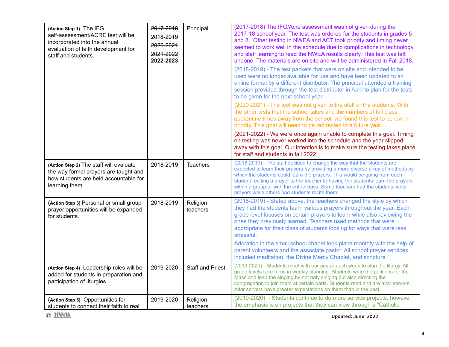| (Action Step 1) The IFG<br>self-assessment/ACRE test will be<br>incorporated into the annual<br>evaluation of faith development for<br>staff and students. | 2017-2018<br>2018-2019<br>2020-2021<br>2021-2022<br>2022-2023 | Principal               | (2017-2018) The IFG/Acre assessment was not given during the<br>2017-18 school year. The test was ordered for the students in grades 5<br>and 8. Other testing in NWEA and ACT took priority and timing never<br>seemed to work well in the schedule due to complications in technology<br>and staff learning to read the NWEA results clearly. This test was left<br>undone. The materials are on site and will be administered in Fall 2018.<br>(2018-2019) - The test packets that were on site and intended to be<br>used were no longer available for use and have been updated to an<br>online format by a different distributor. The principal attended a training<br>session provided through the test distributor in April to plan for the tests<br>to be given for the next school year.<br>(2020-2021) - The test was not given to the staff or the students. With<br>the other tests that the school takes and the numbers of full class<br>quarantine times away from the school, we found this test to be low in<br>priority. This goal will need to be redirected to a future year.<br>(2021-2022) - We were once again unable to complete this goal. Timing<br>on testing was never worked into the schedule and the year slipped<br>away with this goal. Our intention is to make sure the testing takes place<br>for staff and students in fall 2022. |
|------------------------------------------------------------------------------------------------------------------------------------------------------------|---------------------------------------------------------------|-------------------------|-------------------------------------------------------------------------------------------------------------------------------------------------------------------------------------------------------------------------------------------------------------------------------------------------------------------------------------------------------------------------------------------------------------------------------------------------------------------------------------------------------------------------------------------------------------------------------------------------------------------------------------------------------------------------------------------------------------------------------------------------------------------------------------------------------------------------------------------------------------------------------------------------------------------------------------------------------------------------------------------------------------------------------------------------------------------------------------------------------------------------------------------------------------------------------------------------------------------------------------------------------------------------------------------------------------------------------------------------------------------------|
| (Action Step 2) The staff will evaluate<br>the way formal prayers are taught and<br>how students are held accountable for<br>learning them.                | 2018-2019                                                     | <b>Teachers</b>         | (2018-2019) - The staff decided to change the way that the students are<br>expected to learn their prayers by providing a more diverse array of methods by<br>which the students could learn the prayers. This would be going from each<br>student reciting a prayer to the teacher to having the students learn the prayers<br>within a group or with the entire class. Some teachers had the students write<br>prayers while others had students recite them.                                                                                                                                                                                                                                                                                                                                                                                                                                                                                                                                                                                                                                                                                                                                                                                                                                                                                                         |
| (Action Step 3) Personal or small group<br>prayer opportunities will be expanded<br>for students.                                                          | 2018-2019                                                     | Religion<br>teachers    | (2018-2019) - Stated above, the teachers changed the style by which<br>they had the students learn various prayers throughout the year. Each<br>grade level focuses on certain prayers to learn while also reviewing the<br>ones they previously learned. Teachers used methods that were<br>appropriate for their class of students looking for ways that were less<br>stressful.<br>Adoration in the small school chapel took place monthly with the help of<br>parent volunteers and the associate pastor. All school prayer services<br>included meditation, the Divine Mercy Chaplet, and scripture.                                                                                                                                                                                                                                                                                                                                                                                                                                                                                                                                                                                                                                                                                                                                                               |
| (Action Step 4) Leadership roles will be<br>added for students in preparation and<br>participation of liturgies.                                           | 2019-2020                                                     | <b>Staff and Priest</b> | (2019-2020) - Students meet with our pastor each week to plan the liturgy. All<br>grade levels take turns in weekly planning. Students write the petitions for the<br>Mass and lead the singing by not only singing but also directing the<br>congregation to join them at certain parts. Students read and are altar servers.<br>Altar servers have greater expectations on them than in the past.                                                                                                                                                                                                                                                                                                                                                                                                                                                                                                                                                                                                                                                                                                                                                                                                                                                                                                                                                                     |
| (Action Step 5) Opportunities for<br>students to connect their faith to real                                                                               | 2019-2020                                                     | Religion<br>teachers    | (2019-2020) - Students continue to do more service projects, however<br>the emphasis is on projects that they can view through a "Catholic                                                                                                                                                                                                                                                                                                                                                                                                                                                                                                                                                                                                                                                                                                                                                                                                                                                                                                                                                                                                                                                                                                                                                                                                                              |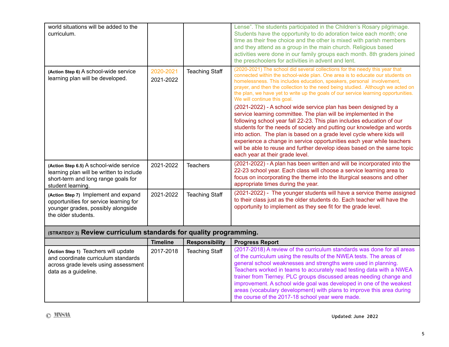| world situations will be added to the<br>curriculum.                                                                                            |                        |                       | Lense". The students participated in the Children's Rosary pilgrimage.<br>Students have the opportunity to do adoration twice each month; one<br>time as their free choice and the other is mixed with parish members<br>and they attend as a group in the main church. Religious based<br>activities were done in our family groups each month. 8th graders joined<br>the preschoolers for activities in advent and lent.                                                                                                                           |  |
|-------------------------------------------------------------------------------------------------------------------------------------------------|------------------------|-----------------------|------------------------------------------------------------------------------------------------------------------------------------------------------------------------------------------------------------------------------------------------------------------------------------------------------------------------------------------------------------------------------------------------------------------------------------------------------------------------------------------------------------------------------------------------------|--|
| (Action Step 6) A school-wide service<br>learning plan will be developed.                                                                       | 2020-2021<br>2021-2022 | <b>Teaching Staff</b> | (2020-2021) The school did several collections for the needy this year that<br>connected within the school-wide plan. One area is to educate our students on<br>homelessness. This includes education, speakers, personal involvement,<br>prayer, and then the collection to the need being studied. Although we acted on<br>the plan, we have yet to write up the goals of our service learning opportunities.<br>We will continue this goal.                                                                                                       |  |
|                                                                                                                                                 |                        |                       | (2021-2022) - A school wide service plan has been designed by a<br>service learning committee. The plan will be implemented in the<br>following school year fall 22-23. This plan includes education of our<br>students for the needs of society and putting our knowledge and words<br>into action. The plan is based on a grade level cycle where kids will<br>experience a change in service opportunities each year while teachers<br>will be able to reuse and further develop ideas based on the same topic<br>each year at their grade level. |  |
| (Action Step 6.5) A school-wide service<br>learning plan will be written to include<br>short-term and long range goals for<br>student learning. | 2021-2022              | <b>Teachers</b>       | (2021-2022) - A plan has been written and will be incorporated into the<br>22-23 school year. Each class will choose a service learning area to<br>focus on incorporating the theme into the liturgical seasons and other<br>appropriate times during the year.                                                                                                                                                                                                                                                                                      |  |
| (Action Step 7) Implement and expand<br>opportunities for service learning for<br>younger grades, possibly alongside<br>the older students.     | 2021-2022              | <b>Teaching Staff</b> | (2021-2022) - The younger students will have a service theme assigned<br>to their class just as the older students do. Each teacher will have the<br>opportunity to implement as they see fit for the grade level.                                                                                                                                                                                                                                                                                                                                   |  |
| (STRATEGY 3) Review curriculum standards for quality programming.                                                                               |                        |                       |                                                                                                                                                                                                                                                                                                                                                                                                                                                                                                                                                      |  |
|                                                                                                                                                 | <b>Timeline</b>        | <b>Responsibility</b> | <b>Progress Report</b>                                                                                                                                                                                                                                                                                                                                                                                                                                                                                                                               |  |
| (Action Step 1) Teachers will update<br>and coordinate curriculum standards<br>across grade levels using assessment<br>data as a guideline.     | 2017-2018              | <b>Teaching Staff</b> | (2017-2018) A review of the curriculum standards was done for all areas<br>of the curriculum using the results of the NWEA tests. The areas of<br>general school weaknesses and strengths were used in planning.<br>Teachers worked in teams to accurately read testing data with a NWEA<br>trainer from Tierney. PLC groups discussed areas needing change and                                                                                                                                                                                      |  |

improvement. A school wide goal was developed in one of the weakest areas (vocabulary development) with plans to improve this area during

the course of the 2017-18 school year were made.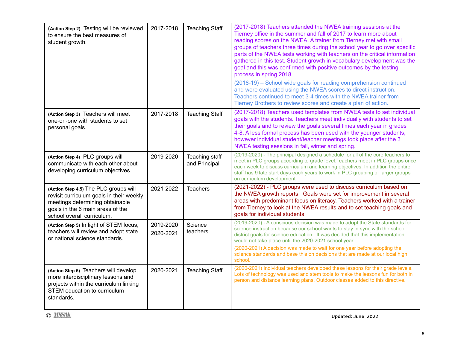| (Action Step 2) Testing will be reviewed<br>to ensure the best measures of<br>student growth.                                                                                          | 2017-2018              | <b>Teaching Staff</b>           | (2017-2018) Teachers attended the NWEA training sessions at the<br>Tierney office in the summer and fall of 2017 to learn more about<br>reading scores on the NWEA. A trainer from Tierney met with small<br>groups of teachers three times during the school year to go over specific<br>parts of the NWEA tests working with teachers on the critical information<br>gathered in this test. Student growth in vocabulary development was the<br>goal and this was confirmed with positive outcomes by the testing<br>process in spring 2018.<br>(2018-19) - School wide goals for reading comprehension continued<br>and were evaluated using the NWEA scores to direct instruction.<br>Teachers continued to meet 3-4 times with the NWEA trainer from<br>Tierney Brothers to review scores and create a plan of action. |
|----------------------------------------------------------------------------------------------------------------------------------------------------------------------------------------|------------------------|---------------------------------|-----------------------------------------------------------------------------------------------------------------------------------------------------------------------------------------------------------------------------------------------------------------------------------------------------------------------------------------------------------------------------------------------------------------------------------------------------------------------------------------------------------------------------------------------------------------------------------------------------------------------------------------------------------------------------------------------------------------------------------------------------------------------------------------------------------------------------|
| (Action Step 3) Teachers will meet<br>one-on-one with students to set<br>personal goals.                                                                                               | 2017-2018              | <b>Teaching Staff</b>           | (2017-2018) Teachers used templates from NWEA tests to set individual<br>goals with the students. Teachers meet individually with students to set<br>their goals and to review the goals several times each year in grades<br>4-8. A less formal process has been used with the younger students,<br>however individual student/teacher meetings took place after the 3<br>NWEA testing sessions in fall, winter and spring.                                                                                                                                                                                                                                                                                                                                                                                                |
| (Action Step 4) PLC groups will<br>communicate with each other about<br>developing curriculum objectives.                                                                              | 2019-2020              | Teaching staff<br>and Principal | (2019-2020) - The principal designed a schedule for all of the core teachers to<br>meet in PLC groups according to grade level. Teachers meet in PLC groups once<br>each week to discuss curriculum and learning objectives. In addition the entire<br>staff has 9 late start days each years to work in PLC grouping or larger groups<br>on curriculum development                                                                                                                                                                                                                                                                                                                                                                                                                                                         |
| (Action Step 4.5) The PLC groups will<br>revisit curriculum goals in their weekly<br>meetings determining obtainable<br>goals in the 6 main areas of the<br>school overall curriculum. | 2021-2022              | <b>Teachers</b>                 | (2021-2022) - PLC groups were used to discuss curriculum based on<br>the NWEA growth reports. Goals were set for improvement in several<br>areas with predominant focus on literacy. Teachers worked with a trainer<br>from Tierney to look at the NWEA results and to set teaching goals and<br>goals for individual students.                                                                                                                                                                                                                                                                                                                                                                                                                                                                                             |
| (Action Step 5) In light of STEM focus,<br>teachers will review and adopt state<br>or national science standards.                                                                      | 2019-2020<br>2020-2021 | Science<br>teachers             | (2019-2020) - A conscious decision was made to adopt the State standards for<br>science instruction because our school wants to stay in sync with the school<br>district goals for science education. It was decided that this implementation<br>would not take place until the 2020-2021 school year.<br>(2020-2021) A decision was made to wait for one year before adopting the<br>science standards and base this on decisions that are made at our local high<br>school.                                                                                                                                                                                                                                                                                                                                               |
| (Action Step 6) Teachers will develop<br>more interdisciplinary lessons and<br>projects within the curriculum linking<br>STEM education to curriculum<br>standards.                    | 2020-2021              | <b>Teaching Staff</b>           | (2020-2021) Individual teachers developed these lessons for their grade levels.<br>Lots of technology was used and stem tools to make the lessons fun for both in<br>person and distance learning plans. Outdoor classes added to this directive.                                                                                                                                                                                                                                                                                                                                                                                                                                                                                                                                                                           |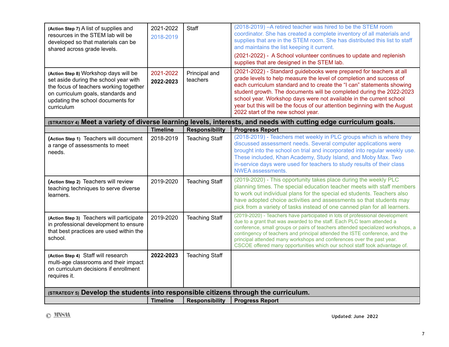| (Action Step 7) A list of supplies and<br>resources in the STEM lab will be<br>developed so that materials can be<br>shared across grade levels.                                                                  | 2021-2022<br>2018-2019 | Staff                     | (2018-2019) - A retired teacher was hired to be the STEM room<br>coordinator. She has created a complete inventory of all materials and<br>supplies that are in the STEM room. She has distributed this list to staff<br>and maintains the list keeping it current.<br>(2021-2022) - A School volunteer continues to update and replenish<br>supplies that are designed in the STEM lab.                                                                                               |
|-------------------------------------------------------------------------------------------------------------------------------------------------------------------------------------------------------------------|------------------------|---------------------------|----------------------------------------------------------------------------------------------------------------------------------------------------------------------------------------------------------------------------------------------------------------------------------------------------------------------------------------------------------------------------------------------------------------------------------------------------------------------------------------|
| (Action Step 8) Workshop days will be<br>set aside during the school year with<br>the focus of teachers working together<br>on curriculum goals, standards and<br>updating the school documents for<br>curriculum | 2021-2022<br>2022-2023 | Principal and<br>teachers | (2021-2022) - Standard guidebooks were prepared for teachers at all<br>grade levels to help measure the level of completion and success of<br>each curriculum standard and to create the "I can" statements showing<br>student growth. The documents will be completed during the 2022-2023<br>school year. Workshop days were not available in the current school<br>year but this will be the focus of our attention beginning with the August<br>2022 start of the new school year. |
|                                                                                                                                                                                                                   |                        |                           | (STRATEGY 4) Meet a variety of diverse learning levels, interests, and needs with cutting edge curriculum goals.                                                                                                                                                                                                                                                                                                                                                                       |
|                                                                                                                                                                                                                   | <b>Timeline</b>        | <b>Responsibility</b>     | <b>Progress Report</b>                                                                                                                                                                                                                                                                                                                                                                                                                                                                 |
| (Action Step 1) Teachers will document<br>a range of assessments to meet<br>needs.                                                                                                                                | 2018-2019              | <b>Teaching Staff</b>     | (2018-2019) - Teachers met weekly in PLC groups which is where they<br>discussed assessment needs. Several computer applications were<br>brought into the school on trial and incorporated into regular weekly use.<br>These included, Khan Academy, Study Island, and Moby Max. Two<br>in-service days were used for teachers to study results of their class<br><b>NWEA</b> assessments.                                                                                             |
| (Action Step 2) Teachers will review<br>teaching techniques to serve diverse<br>learners.                                                                                                                         | 2019-2020              | <b>Teaching Staff</b>     | (2019-2020) - This opportunity takes place during the weekly PLC<br>planning times. The special education teacher meets with staff members<br>to work out individual plans for the special ed students. Teachers also<br>have adopted choice activities and assessments so that students may<br>pick from a variety of tasks instead of one canned plan for all learners.                                                                                                              |
| (Action Step 3) Teachers will participate<br>in professional development to ensure<br>that best practices are used within the<br>school.                                                                          | 2019-2020              | <b>Teaching Staff</b>     | (2019-2020) - Teachers have participated in lots of professional development<br>due to a grant that was awarded to the staff. Each PLC team attended a<br>conference, small groups or pairs of teachers attended specialized workshops, a<br>contingency of teachers and principal attended the ISTE conference, and the<br>principal attended many workshops and conferences over the past year.<br>CSCOE offered many opportunities which our school staff took advantage of.        |
| (Action Step 4) Staff will research<br>multi-age classrooms and their impact<br>on curriculum decisions if enrollment<br>requires it.                                                                             | 2022-2023              | <b>Teaching Staff</b>     |                                                                                                                                                                                                                                                                                                                                                                                                                                                                                        |
| (STRATEGY 5) Develop the students into responsible citizens through the curriculum.                                                                                                                               |                        |                           |                                                                                                                                                                                                                                                                                                                                                                                                                                                                                        |
|                                                                                                                                                                                                                   | <b>Timeline</b>        | <b>Responsibility</b>     | <b>Progress Report</b>                                                                                                                                                                                                                                                                                                                                                                                                                                                                 |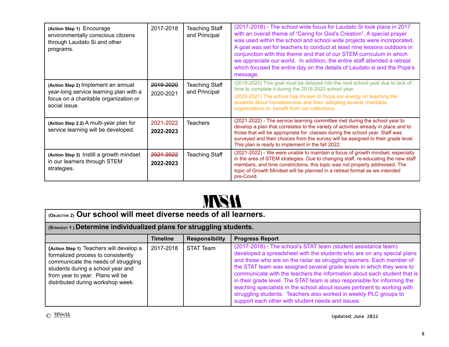| (Action Step 1) Encourage<br>environmentally conscious citizens<br>through Laudato Si and other<br>programs.                            | 2017-2018                         | <b>Teaching Staff</b><br>and Principal | (2017-2018) - The school wide focus for Laudato Si took place in 2017<br>with an overall theme of "Caring for God's Creation". A special prayer<br>was used within the school and school wide projects were incorporated.<br>A goal was set for teachers to conduct at least nine lessons outdoors in<br>conjunction with this theme and that of our STEM curriculum in which<br>we appreciate our world. In addition, the entire staff attended a retreat<br>which focused the entire day on the details of Laudato si and the Pope's<br>message. |
|-----------------------------------------------------------------------------------------------------------------------------------------|-----------------------------------|----------------------------------------|----------------------------------------------------------------------------------------------------------------------------------------------------------------------------------------------------------------------------------------------------------------------------------------------------------------------------------------------------------------------------------------------------------------------------------------------------------------------------------------------------------------------------------------------------|
| (Action Step 2) Implement an annual<br>year-long service learning plan with a<br>focus on a charitable organization or<br>social issue. | <del>2019-2020</del><br>2020-2021 | <b>Teaching Staff</b><br>and Principal | (2019-2020) This goal must be delayed into the next school year due to lack of<br>time to complete it during the 2019-2020 school year.<br>(2020-2021) The school has chosen to focus our energy on teaching the<br>students about homelessness and then adopting several charitable<br>organizations to benefit from our collections.                                                                                                                                                                                                             |
| (Action Step 2.2) A multi-year plan for<br>service learning will be developed.                                                          | 2021-2022<br>2022-2023            | <b>Teachers</b>                        | (2021-2022) - The service learning committee met during the school year to<br>develop a plan that correlates to the variety of activities already in place and to<br>those that will be appropriate for classes during the school year. Staff was<br>surveyed and their choices from the survey will be assigned to their grade level.<br>This plan is ready to implement in the fall 2022.                                                                                                                                                        |
| (Action Step 3) Instill a growth mindset<br>in our learners through STEM<br>strategies.                                                 | 2021-2022<br>2022-2023            | Teaching Staff                         | (2021-2022) - We were unable to maintain a focus of growth mindset, especially<br>in the area of STEM strategies. Due to changing staff, re-educating the new staff<br>members, and time constrictions, this topic was not properly addressed. The<br>topic of Growth Mindset will be planned in a retreat format as we intended<br>pre-Covid.                                                                                                                                                                                                     |

## **MNSA**

| (OBJECTIVE 2) Our school will meet diverse needs of all learners.                                                                                                                                                                  |                 |                       |                                                                                                                                                                                                                                                                                                                                                                                                                                                                                                                                                                                                                                                            |
|------------------------------------------------------------------------------------------------------------------------------------------------------------------------------------------------------------------------------------|-----------------|-----------------------|------------------------------------------------------------------------------------------------------------------------------------------------------------------------------------------------------------------------------------------------------------------------------------------------------------------------------------------------------------------------------------------------------------------------------------------------------------------------------------------------------------------------------------------------------------------------------------------------------------------------------------------------------------|
| (STRATEGY 1) Determine individualized plans for struggling students.                                                                                                                                                               |                 |                       |                                                                                                                                                                                                                                                                                                                                                                                                                                                                                                                                                                                                                                                            |
|                                                                                                                                                                                                                                    | <b>Timeline</b> | <b>Responsibility</b> | <b>Progress Report</b>                                                                                                                                                                                                                                                                                                                                                                                                                                                                                                                                                                                                                                     |
| (Action Step 1) Teachers will develop a<br>formalized process to consistently<br>communicate the needs of struggling<br>students during a school year and<br>from year to year. Plans will be<br>distributed during workshop week. | 2017-2018       | STAT Team             | (2017-2018) - The school's STAT team (student assistance team)<br>developed a spreadsheet with the students who are on any special plans<br>and those who are on the radar as struggling learners. Each member of<br>the STAT team was assigned several grade levels in which they were to<br>communicate with the teachers the information about each student that is<br>in their grade level. The STAT team is also responsible for informing the<br>teaching specialists in the school about issues pertinent to working with<br>struggling students. Teachers also worked in weekly PLC groups to<br>support each other with student needs and issues. |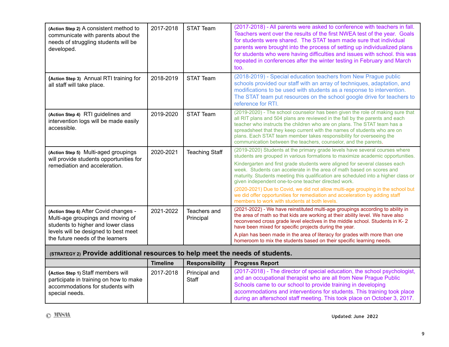| (Action Step 2) A consistent method to<br>communicate with parents about the<br>needs of struggling students will be<br>developed.                                                           | 2017-2018 | <b>STAT Team</b>          | (2017-2018) - All parents were asked to conference with teachers in fall.<br>Teachers went over the results of the first NWEA test of the year. Goals<br>for students were shared. The STAT team made sure that individual<br>parents were brought into the process of setting up individualized plans<br>for students who were having difficulties and issues with school. this was<br>repeated in conferences after the winter testing in February and March<br>too.                                                                                                                                                                                                                |
|----------------------------------------------------------------------------------------------------------------------------------------------------------------------------------------------|-----------|---------------------------|---------------------------------------------------------------------------------------------------------------------------------------------------------------------------------------------------------------------------------------------------------------------------------------------------------------------------------------------------------------------------------------------------------------------------------------------------------------------------------------------------------------------------------------------------------------------------------------------------------------------------------------------------------------------------------------|
| (Action Step 3) Annual RTI training for<br>all staff will take place.                                                                                                                        | 2018-2019 | <b>STAT Team</b>          | (2018-2019) - Special education teachers from New Prague public<br>schools provided our staff with an array of techniques, adaptation, and<br>modifications to be used with students as a response to intervention.<br>The STAT team put resources on the school google drive for teachers to<br>reference for RTI.                                                                                                                                                                                                                                                                                                                                                                   |
| (Action Step 4) RTI guidelines and<br>intervention logs will be made easily<br>accessible.                                                                                                   | 2019-2020 | <b>STAT Team</b>          | (2019-2020) - The school counselor has been given the role of making sure that<br>all RIT plans and 504 plans are reviewed in the fall by the parents and each<br>teacher who instructs the children who are on plans. The STAT team has a<br>spreadsheet that they keep current with the names of students who are on<br>plans. Each STAT team member takes responsibility for overseeing the<br>communication between the teachers, counselor, and the parents.                                                                                                                                                                                                                     |
| (Action Step 5) Multi-aged groupings<br>will provide students opportunities for<br>remediation and acceleration.                                                                             | 2020-2021 | <b>Teaching Staff</b>     | (2019-2020) Students at the primary grade levels have several courses where<br>students are grouped in various formations to maximize academic opportunities.<br>Kindergarten and first grade students were aligned for several classes each<br>week. Students can accelerate in the area of math based on scores and<br>maturity. Students meeting this qualification are scheduled into a higher class or<br>given independent one-to-one teacher directed work.<br>(2020-2021) Due to Covid, we did not allow multi-age grouping in the school but<br>we did offer opportunities for remediation and acceleration by adding staff<br>members to work with students at both levels. |
| (Action Step 6) After Covid changes -<br>Multi-age groupings and moving of<br>students to higher and lower class<br>levels will be designed to best meet<br>the future needs of the learners | 2021-2022 | Teachers and<br>Principal | (2021-2022) - We have reinstituted multi-age groupings according to ability in<br>the area of math so that kids are working at their ability level. We have also<br>reconvened cross grade level electives in the middle school. Students in K-2<br>have been mixed for specific projects during the year.<br>A plan has been made in the area of literacy for grades with more than one<br>homeroom to mix the students based on their specific learning needs.                                                                                                                                                                                                                      |

#### **(STRATEGY 2) Provide additional resources to help meet the needs of students.**

|                                                                                                                                    | <b>Timeline</b> | <b>Responsibility</b>  | <b>Progress Report</b>                                                                                                                                                                                                                                                                                                                                               |
|------------------------------------------------------------------------------------------------------------------------------------|-----------------|------------------------|----------------------------------------------------------------------------------------------------------------------------------------------------------------------------------------------------------------------------------------------------------------------------------------------------------------------------------------------------------------------|
| (Action Step 1) Staff members will<br>participate in training on how to make<br>accommodations for students with<br>special needs. | 2017-2018       | Principal and<br>Staff | (2017-2018) - The director of special education, the school psychologist,<br>and an occupational therapist who are all from New Prague Public<br>Schools came to our school to provide training in developing<br>accommodations and interventions for students. This training took place<br>during an afterschool staff meeting. This took place on October 3, 2017. |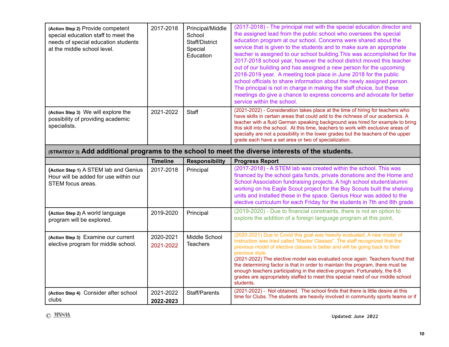| (Action Step 2) Provide competent<br>special education staff to meet the<br>needs of special education students<br>at the middle school level. | 2017-2018 | Principal/Middle<br>School<br>Staff/District<br>Special<br>Education | (2017-2018) - The principal met with the special education director and<br>the assigned lead from the public school who oversees the special<br>education program at our school. Concerns were shared about the<br>service that is given to the students and to make sure an appropriate<br>teacher is assigned to our school building. This was accomplished for the<br>2017-2018 school year, however the school district moved this teacher<br>out of our building and has assigned a new person for the upcoming<br>2018-2019 year. A meeting took place in June 2018 for the public<br>school officials to share information about the newly assigned person.<br>The principal is not in charge in making the staff choice, but these<br>meetings do give a chance to express concerns and advocate for better<br>service within the school. |
|------------------------------------------------------------------------------------------------------------------------------------------------|-----------|----------------------------------------------------------------------|---------------------------------------------------------------------------------------------------------------------------------------------------------------------------------------------------------------------------------------------------------------------------------------------------------------------------------------------------------------------------------------------------------------------------------------------------------------------------------------------------------------------------------------------------------------------------------------------------------------------------------------------------------------------------------------------------------------------------------------------------------------------------------------------------------------------------------------------------|
| (Action Step 3) We will explore the<br>possibility of providing academic<br>specialists.                                                       | 2021-2022 | Staff                                                                | (2021-2022) - Consideration takes place at the time of hiring for teachers who<br>have skills in certain areas that could add to the richness of our academics. A<br>teacher with a fluid German speaking background was hired for example to bring<br>this skill into the school. At this time, teachers to work with exclusive areas of<br>specialty are not a possibility in the lower grades but the teachers of the upper<br>grade each have a set area or two of specialization.                                                                                                                                                                                                                                                                                                                                                            |

**(STRATEGY 3) Add additional programs to the school to meet the diverse interests of the students.**

|                                                                                                     | <b>Timeline</b>        | <b>Responsibility</b>     | <b>Progress Report</b>                                                                                                                                                                                                                                                                                                                                                                                                                                                                                                                                                                                       |
|-----------------------------------------------------------------------------------------------------|------------------------|---------------------------|--------------------------------------------------------------------------------------------------------------------------------------------------------------------------------------------------------------------------------------------------------------------------------------------------------------------------------------------------------------------------------------------------------------------------------------------------------------------------------------------------------------------------------------------------------------------------------------------------------------|
| (Action Step 1) A STEM lab and Genius<br>Hour will be added for use within our<br>STEM focus areas. | 2017-2018              | Principal                 | (2017-2018) - A STEM lab was created within the school. This was<br>financed by the school gala funds, private donations and the Home and<br>School Association fundraising projects. A high school student/alumni<br>working on his Eagle Scout project for the Boy Scouts built the shelving<br>units and installed these in the space. Genius Hour was added to the<br>elective curriculum for each Friday for the students in 7th and 8th grade.                                                                                                                                                         |
| (Action Step 2) A world language<br>program will be explored.                                       | 2019-2020              | Principal                 | (2019-2020) - Due to financial constraints, there is not an option to<br>explore the addition of a foreign language program at this point.                                                                                                                                                                                                                                                                                                                                                                                                                                                                   |
| (Action Step 3) Examine our current<br>elective program for middle school.                          | 2020-2021<br>2021-2022 | Middle School<br>Teachers | (2020-2021) Due to Covid this goal was heavily evaluated. A new model of<br>instruction was tried called "Master Classes". The staff recognized that the<br>previous model of elective classes is better and will be going back to their<br>previous style.<br>(2021-2022) The elective model was evaluated once again. Teachers found that<br>the determining factor is that in order to maintain the program, there must be<br>enough teachers participating in the elective program. Fortunately, the 6-8<br>grades are appropriately staffed to meet this special need of our middle school<br>students. |
| (Action Step 4) Consider after school<br>clubs                                                      | 2021-2022<br>2022-2023 | Staff/Parents             | (2021-2022) - Not obtained. The school finds that there is little desire at this<br>time for Clubs. The students are heavily involved in community sports teams or if                                                                                                                                                                                                                                                                                                                                                                                                                                        |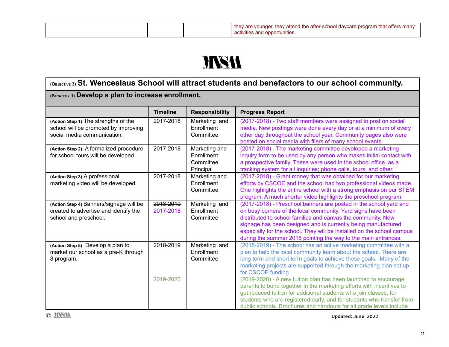|  | they are younger, they attend the after-school daycare program that offers many<br>activities and opportunities. |
|--|------------------------------------------------------------------------------------------------------------------|

## **MNSA**

### **(OBJECTIVE 3) St. Wenceslaus School will attract students and benefactors to our school community.**

#### **(STRATEGY 1) Develop a plan to increase enrollment.**

|                                                                              | <b>Timeline</b> | <b>Responsibility</b>       | <b>Progress Report</b>                                                                                                                     |
|------------------------------------------------------------------------------|-----------------|-----------------------------|--------------------------------------------------------------------------------------------------------------------------------------------|
| (Action Step 1) The strengths of the<br>school will be promoted by improving | 2017-2018       | Marketing and<br>Enrollment | (2017-2018) - Two staff members were assigned to post on social<br>media. New postings were done every day or at a minimum of every        |
| social media communication.                                                  |                 | Committee                   | other day throughout the school year. Community pages also were<br>posted on social media with fliers of many school events.               |
| (Action Step 2) A formalized procedure                                       | 2017-2018       | Marketing and               | (2017-2018) - The marketing committee developed a marketing                                                                                |
| for school tours will be developed.                                          |                 | Enrollment<br>Committee     | inquiry form to be used by any person who makes initial contact with<br>a prospective family. These were used in the school office. as a   |
|                                                                              |                 | Principal                   | tracking system for all inquiries; phone calls, tours, and other.                                                                          |
| (Action Step 3) A professional                                               | 2017-2018       | Marketing and               | (2017-2018) - Grant money that was obtained for our marketing                                                                              |
| marketing video will be developed.                                           |                 | Enrollment<br>Committee     | efforts by CSCOE and the school had two professional videos made.<br>One highlights the entire school with a strong emphasis on our STEM   |
|                                                                              |                 |                             | program. A much shorter video highlights the preschool program.                                                                            |
| (Action Step 4) Banners/signage will be                                      | 2018-2019       | Marketing and               | (2017-2018) - Preschool banners are posted in the school yard and                                                                          |
| created to advertise and identify the                                        | 2017-2018       | Enrollment                  | on busy corners of the local community. Yard signs have been                                                                               |
| school and preschool.                                                        |                 | Committee                   | distributed to school families and canvas the community. New<br>signage has been designed and is currently being manufactured              |
|                                                                              |                 |                             | especially for the school. They will be installed on the school campus                                                                     |
|                                                                              |                 |                             | during the summer 2018 pointing the way to the main entrances.                                                                             |
| (Action Step 5) Develop a plan to                                            | 2018-2019       | Marketing and               | (2018-2019) - The school has an active marketing committee with a                                                                          |
| market our school as a pre-K through                                         |                 | Enrollment<br>Committee     | plan to help the local community learn about the school. There are                                                                         |
| 8 program.                                                                   |                 |                             | long term and short term goals to achieve these goals. .Many of the<br>marketing projects are supported through the marketing plan set up  |
|                                                                              |                 |                             | for CSCOE funding.                                                                                                                         |
|                                                                              | 2019-2020       |                             | (2019-2020) - A new tuition plan has been launched to encourage                                                                            |
|                                                                              |                 |                             | parents to bond together in the marketing efforts with incentives to                                                                       |
|                                                                              |                 |                             | get reduced tuition for additional students who join classes, for<br>students who are registered early, and for students who transfer from |
|                                                                              |                 |                             | public schools. Brochures and handouts for all grade levels include                                                                        |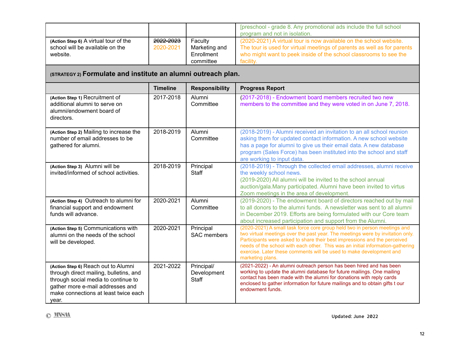|                                                                                      |                                   |                                                     | [preschool - grade 8. Any promotional ads include the full school<br>program and not in isolation.                                                                                                                              |
|--------------------------------------------------------------------------------------|-----------------------------------|-----------------------------------------------------|---------------------------------------------------------------------------------------------------------------------------------------------------------------------------------------------------------------------------------|
| (Action Step 6) A virtual tour of the<br>school will be available on the<br>website. | <del>2022-2023</del><br>2020-2021 | Faculty<br>Marketing and<br>Enrollment<br>committee | (2020-2021) A virtual tour is now available on the school website.<br>The tour is used for virtual meetings of parents as well as for parents<br>who might want to peek inside of the school classrooms to see the<br>facility. |

### **(STRATEGY 2) Formulate and institute an alumni outreach plan.**

|                                                                                                                                                                                                           | <b>Timeline</b> | <b>Responsibility</b>                     | <b>Progress Report</b>                                                                                                                                                                                                                                                                                                                                                                                                |
|-----------------------------------------------------------------------------------------------------------------------------------------------------------------------------------------------------------|-----------------|-------------------------------------------|-----------------------------------------------------------------------------------------------------------------------------------------------------------------------------------------------------------------------------------------------------------------------------------------------------------------------------------------------------------------------------------------------------------------------|
| (Action Step 1) Recruitment of<br>additional alumni to serve on<br>alumni/endowment board of<br>directors.                                                                                                | 2017-2018       | Alumni<br>Committee                       | (2017-2018) - Endowment board members recruited two new<br>members to the committee and they were voted in on June 7, 2018.                                                                                                                                                                                                                                                                                           |
| (Action Step 2) Mailing to increase the<br>number of email addresses to be<br>gathered for alumni.                                                                                                        | 2018-2019       | Alumni<br>Committee                       | (2018-2019) - Alumni received an invitation to an all school reunion<br>asking them for updated contact information. A new school website<br>has a page for alumni to give us their email data. A new database<br>program (Sales Force) has been instituted into the school and staff<br>are working to input data.                                                                                                   |
| (Action Step 3) Alumni will be<br>invited/informed of school activities.                                                                                                                                  | 2018-2019       | Principal<br><b>Staff</b>                 | (2018-2019) - Through the collected email addresses, alumni receive<br>the weekly school news.<br>(2019-2020) All alumni will be invited to the school annual<br>auction/gala. Many participated. Alumni have been invited to virtus<br>Zoom meetings in the area of development.                                                                                                                                     |
| (Action Step 4) Outreach to alumni for<br>financial support and endowment<br>funds will advance.                                                                                                          | 2020-2021       | Alumni<br>Committee                       | (2019-2020) - The endowment board of directors reached out by mail<br>to all donors to the alumni funds. A newsletter was sent to all alumni<br>in December 2019. Efforts are being formulated with our Core team<br>about increased participation and support from the Alumni.                                                                                                                                       |
| (Action Step 5) Communications with<br>alumni on the needs of the school<br>will be developed.                                                                                                            | 2020-2021       | Principal<br><b>SAC</b> members           | (2020-2021) A small task force core group held two in person meetings and<br>two virtual meetings over the past year. The meetings were by invitation only.<br>Participants were asked to share their best impressions and the perceived<br>needs of the school with each other. This was an initial information-gathering<br>exercise. Later these comments will be used to make development and<br>marketing plans. |
| (Action Step 6) Reach out to Alumni<br>through direct mailing, bulletins, and<br>through social media to continue to<br>gather more e-mail addresses and<br>make connections at least twice each<br>vear. | 2021-2022       | Principal/<br>Development<br><b>Staff</b> | (2021-2022) - An alumni outreach person has been hired and has been<br>working to update the alumni database for future mailings. One mailing<br>contact has been made with the alumni for donations with reply cards<br>enclosed to gather information for future mailings and to obtain gifts t our<br>endowment funds.                                                                                             |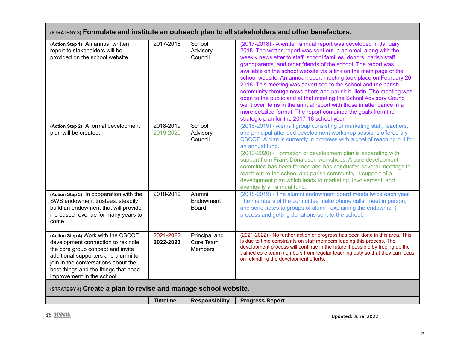| (STRATEGY 3) Formulate and institute an outreach plan to all stakeholders and other benefactors.                                                                                                                                                                  |                        |                                              |                                                                                                                                                                                                                                                                                                                                                                                                                                                                                                                                                                                                                                                                                                                                                                                                                            |
|-------------------------------------------------------------------------------------------------------------------------------------------------------------------------------------------------------------------------------------------------------------------|------------------------|----------------------------------------------|----------------------------------------------------------------------------------------------------------------------------------------------------------------------------------------------------------------------------------------------------------------------------------------------------------------------------------------------------------------------------------------------------------------------------------------------------------------------------------------------------------------------------------------------------------------------------------------------------------------------------------------------------------------------------------------------------------------------------------------------------------------------------------------------------------------------------|
| (Action Step 1) An annual written<br>report to stakeholders will be<br>provided on the school website.                                                                                                                                                            | 2017-2018              | School<br>Advisory<br>Council                | (2017-2018) - A written annual report was developed in January<br>2018. The written report was sent out in an email along with the<br>weekly newsletter to staff, school families, donors, parish staff,<br>grandparents, and other friends of the school. The report was<br>available on the school website via a link on the main page of the<br>school website. An annual report meeting took place on February 26,<br>2018. This meeting was advertised to the school and the parish<br>community through newsletters and parish bulletin. The meeting was<br>open to the public and at that meeting the School Advisory Council<br>went over items in the annual report with those in attendance in a<br>more detailed format. The report contained the goals from the<br>strategic plan for the 2017-18 school year. |
| (Action Step 2) A formal development<br>plan will be created.                                                                                                                                                                                                     | 2018-2019<br>2019-2020 | School<br>Advisory<br>Council                | (2018-2019) - A small group consisting of marketing staff, teachers,<br>and principal attended development workshop sessions offered by<br>CSCOE. A plan is currently in progress with a goal of reaching out for<br>an annual fund.<br>(2019-2020) - Formation of development plan is expanding with<br>support from Frank Donaldson workshops. A core development<br>committee has been formed and has conducted several meetings to<br>reach out to the school and parish community in support of a<br>development plan which leads to marketing, involvement, and<br>eventually an annual fund.                                                                                                                                                                                                                        |
| (Action Step 3) In cooperation with the<br>SWS endowment trustees, steadily<br>build an endowment that will provide<br>increased revenue for many years to<br>come.                                                                                               | 2018-2019              | Alumni<br>Endowment<br><b>Board</b>          | (2018-2019) - The alumni endowment board meets twice each year.<br>The members of the committee make phone calls, meet in person,<br>and send notes to groups of alumni explaining the endowment<br>process and getting donations sent to the school.                                                                                                                                                                                                                                                                                                                                                                                                                                                                                                                                                                      |
| (Action Step 4) Work with the CSCOE<br>development connection to rekindle<br>the core group concept and invite<br>additional supporters and alumni to<br>join in the conversations about the<br>best things and the things that need<br>improvement in the school | 2021-2022<br>2022-2023 | Principal and<br>Core Team<br><b>Members</b> | (2021-2022) - No further action or progress has been done in this area. This<br>is due to time constraints on staff members leading this process. The<br>development process will continue in the future if possible by freeing up the<br>trained core team members from regular teaching duty so that they can focus<br>on rekindling the development efforts                                                                                                                                                                                                                                                                                                                                                                                                                                                             |
| (STRATEGY 4) Create a plan to revise and manage school website.                                                                                                                                                                                                   |                        |                                              |                                                                                                                                                                                                                                                                                                                                                                                                                                                                                                                                                                                                                                                                                                                                                                                                                            |
|                                                                                                                                                                                                                                                                   | <b>Timeline</b>        | <b>Responsibility</b>                        | <b>Progress Report</b>                                                                                                                                                                                                                                                                                                                                                                                                                                                                                                                                                                                                                                                                                                                                                                                                     |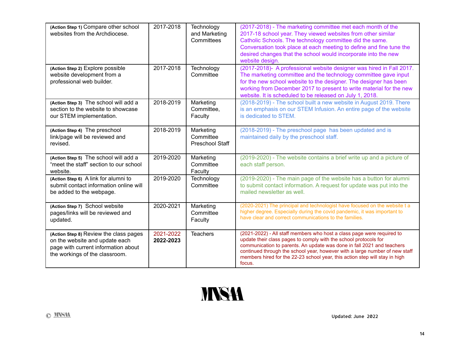| (Action Step 1) Compare other school<br>websites from the Archdiocese.                                                                            | 2017-2018              | Technology<br>and Marketing<br>Committees        | (2017-2018) - The marketing committee met each month of the<br>2017-18 school year. They viewed websites from other similar<br>Catholic Schools. The technology committee did the same.<br>Conversation took place at each meeting to define and fine tune the<br>desired changes that the school would incorporate into the new<br>website design.                                          |
|---------------------------------------------------------------------------------------------------------------------------------------------------|------------------------|--------------------------------------------------|----------------------------------------------------------------------------------------------------------------------------------------------------------------------------------------------------------------------------------------------------------------------------------------------------------------------------------------------------------------------------------------------|
| (Action Step 2) Explore possible<br>website development from a<br>professional web builder.                                                       | 2017-2018              | Technology<br>Committee                          | (2017-2018)- A professional website designer was hired in Fall 2017.<br>The marketing committee and the technology committee gave input<br>for the new school website to the designer. The designer has been<br>working from December 2017 to present to write material for the new<br>website. It is scheduled to be released on July 1, 2018.                                              |
| (Action Step 3) The school will add a<br>section to the website to showcase<br>our STEM implementation.                                           | 2018-2019              | Marketing<br>Committee.<br>Faculty               | (2018-2019) - The school built a new website in August 2019. There<br>is an emphasis on our STEM Infusion. An entire page of the website<br>is dedicated to STEM.                                                                                                                                                                                                                            |
| (Action Step 4) The preschool<br>link/page will be reviewed and<br>revised.                                                                       | 2018-2019              | Marketing<br>Committee<br><b>Preschool Staff</b> | (2018-2019) - The preschool page has been updated and is<br>maintained daily by the preschool staff.                                                                                                                                                                                                                                                                                         |
| (Action Step 5) The school will add a<br>"meet the staff" section to our school<br>website.                                                       | 2019-2020              | Marketing<br>Committee<br>Faculty                | (2019-2020) - The website contains a brief write up and a picture of<br>each staff person.                                                                                                                                                                                                                                                                                                   |
| (Action Step 6) A link for alumni to<br>submit contact information online will<br>be added to the webpage.                                        | 2019-2020              | Technology<br>Committee                          | (2019-2020) - The main page of the website has a button for alumni<br>to submit contact information. A request for update was put into the<br>mailed newsletter as well.                                                                                                                                                                                                                     |
| (Action Step 7) School website<br>pages/links will be reviewed and<br>updated.                                                                    | 2020-2021              | Marketing<br>Committee<br>Faculty                | (2020-2021) The principal and technologist have focused on the website t a<br>higher degree. Especially during the covid pandemic, it was important to<br>have clear and correct communications to the families.                                                                                                                                                                             |
| (Action Step 8) Review the class pages<br>on the website and update each<br>page with current information about<br>the workings of the classroom. | 2021-2022<br>2022-2023 | <b>Teachers</b>                                  | (2021-2022) - All staff members who host a class page were required to<br>update their class pages to comply with the school protocols for<br>communication to parents. An update was done in fall 2021 and teachers<br>continued through the school year, however with a large number of new staff<br>members hired for the 22-23 school year, this action step will stay in high<br>focus. |

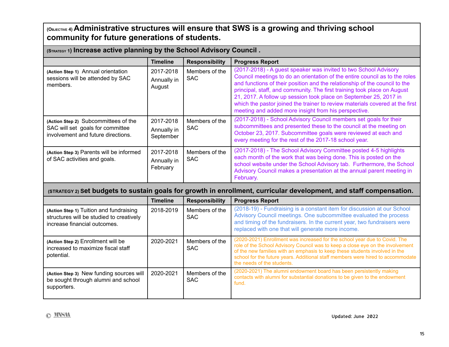**(OBJECTIVE 4) Administrative structures will ensure that SWS is a growing and thriving school community for future generations of students.**

**(STRATEGY <sup>1</sup>) Increase active planning by the School Advisory Council .**

|                                                                                                                | <b>Timeline</b>                       | <b>Responsibility</b>        | <b>Progress Report</b>                                                                                                                                                                                                                                                                                                                                                                                                                                                                                                 |
|----------------------------------------------------------------------------------------------------------------|---------------------------------------|------------------------------|------------------------------------------------------------------------------------------------------------------------------------------------------------------------------------------------------------------------------------------------------------------------------------------------------------------------------------------------------------------------------------------------------------------------------------------------------------------------------------------------------------------------|
| (Action Step 1) Annual orientation<br>sessions will be attended by SAC<br>members.                             | 2017-2018<br>Annually in<br>August    | Members of the<br><b>SAC</b> | (2017-2018) - A guest speaker was invited to two School Advisory<br>Council meetings to do an orientation of the entire council as to the roles<br>and functions of their position and the relationship of the council to the<br>principal, staff, and community. The first training took place on August<br>21, 2017. A follow up session took place on September 25, 2017 in<br>which the pastor joined the trainer to review materials covered at the first<br>meeting and added more insight from his perspective. |
| (Action Step 2) Subcommittees of the<br>SAC will set goals for committee<br>involvement and future directions. | 2017-2018<br>Annually in<br>September | Members of the<br><b>SAC</b> | (2017-2018) - School Advisory Council members set goals for their<br>subcommittees and presented these to the council at the meeting on<br>October 23, 2017. Subcommittee goals were reviewed at each and<br>every meeting for the rest of the 2017-18 school year.                                                                                                                                                                                                                                                    |
| (Action Step 3) Parents will be informed<br>of SAC activities and goals.                                       | 2017-2018<br>Annually in<br>February  | Members of the<br><b>SAC</b> | (2017-2018) - The School Advisory Committee posted 4-5 highlights<br>each month of the work that was being done. This is posted on the<br>school website under the School Advisory tab. Furthermore, the School<br>Advisory Council makes a presentation at the annual parent meeting in<br>February.                                                                                                                                                                                                                  |

#### **(STRATEGY 2) Set budgets to sustain goals for growth in enrollment, curricular development, and staff compensation.**

|                                                                                                                     | <b>Timeline</b> | <b>Responsibility</b>        | <b>Progress Report</b>                                                                                                                                                                                                                                                                                                                                       |
|---------------------------------------------------------------------------------------------------------------------|-----------------|------------------------------|--------------------------------------------------------------------------------------------------------------------------------------------------------------------------------------------------------------------------------------------------------------------------------------------------------------------------------------------------------------|
| (Action Step 1) Tuition and fundraising<br>structures will be studied to creatively<br>increase financial outcomes. | 2018-2019       | Members of the<br><b>SAC</b> | (2018-19) - Fundraising is a constant item for discussion at our School<br>Advisory Council meetings. One subcommittee evaluated the process<br>and timing of the fundraisers. In the current year, two fundraisers were<br>replaced with one that will generate more income.                                                                                |
| (Action Step 2) Enrollment will be<br>increased to maximize fiscal staff<br>potential.                              | 2020-2021       | Members of the<br><b>SAC</b> | (2020-2021) Enrollment was increased for the school year due to Covid. The<br>role of the School Advisory Council was to keep a close eye on the involvement<br>of the new families with an emphasis to keep these students involved in the<br>school for the future years. Additional staff members were hired to accommodate<br>the needs of the students. |
| (Action Step 3) New funding sources will<br>be sought through alumni and school<br>supporters.                      | 2020-2021       | Members of the<br><b>SAC</b> | (2020-2021) The alumni endowment board has been persistently making<br>contacts with alumni for substantial donations to be given to the endowment<br>fund.                                                                                                                                                                                                  |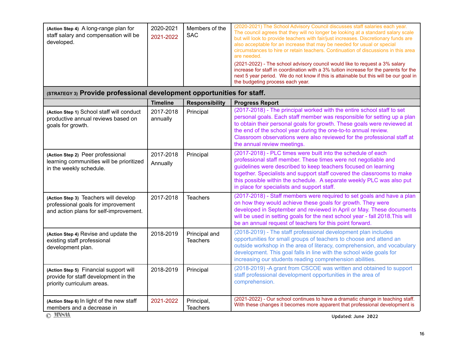**(STRATEGY 3) Provide professional development opportunities for staff.**

|                                                                                                                       | <b>Timeline</b>       | <b>Responsibility</b>            | <b>Progress Report</b>                                                                                                                                                                                                                                                                                                                                                                                   |
|-----------------------------------------------------------------------------------------------------------------------|-----------------------|----------------------------------|----------------------------------------------------------------------------------------------------------------------------------------------------------------------------------------------------------------------------------------------------------------------------------------------------------------------------------------------------------------------------------------------------------|
| (Action Step 1) School staff will conduct<br>productive annual reviews based on<br>goals for growth.                  | 2017-2018<br>annually | Principal                        | (2017-2018) - The principal worked with the entire school staff to set<br>personal goals. Each staff member was responsible for setting up a plan<br>to obtain their personal goals for growth. These goals were reviewed at<br>the end of the school year during the one-to-to annual review.<br>Classroom observations were also reviewed for the professional staff at<br>the annual review meetings. |
| (Action Step 2) Peer professional<br>learning communities will be prioritized<br>in the weekly schedule.              | 2017-2018<br>Annually | Principal                        | (2017-2018) - PLC times were built into the schedule of each<br>professional staff member. These times were not negotiable and<br>guidelines were described to keep teachers focused on learning<br>together. Specialists and support staff covered the classrooms to make<br>this possible within the schedule. A separate weekly PLC was also put<br>in place for specialists and support staff.       |
| (Action Step 3) Teachers will develop<br>professional goals for improvement<br>and action plans for self-improvement. | 2017-2018             | <b>Teachers</b>                  | (2017-2018) - Staff members were required to set goals and have a plan<br>on how they would achieve these goals for growth. They were<br>developed in September and reviewed in April or May. These documents<br>will be used in setting goals for the next school year - fall 2018. This will<br>be an annual request of teachers for this point forward.                                               |
| (Action Step 4) Revise and update the<br>existing staff professional<br>development plan.                             | 2018-2019             | Principal and<br><b>Teachers</b> | (2018-2019) - The staff professional development plan includes<br>opportunities for small groups of teachers to choose and attend an<br>outside workshop in the area of literacy, comprehension, and vocabulary<br>development. This goal falls in line with the school wide goals for<br>increasing our students reading comprehension abilities.                                                       |
| (Action Step 5) Financial support will<br>provide for staff development in the<br>priority curriculum areas.          | 2018-2019             | Principal                        | (2018-2019) -A grant from CSCOE was written and obtained to support<br>staff professional development opportunities in the area of<br>comprehension.                                                                                                                                                                                                                                                     |
| (Action Step 6) In light of the new staff<br>members and a decrease in                                                | 2021-2022             | Principal,<br><b>Teachers</b>    | (2021-2022) - Our school continues to have a dramatic change in teaching staff.<br>With these changes it becomes more apparent that professional development is                                                                                                                                                                                                                                          |
| © MSH                                                                                                                 |                       |                                  | Updated: June 2022                                                                                                                                                                                                                                                                                                                                                                                       |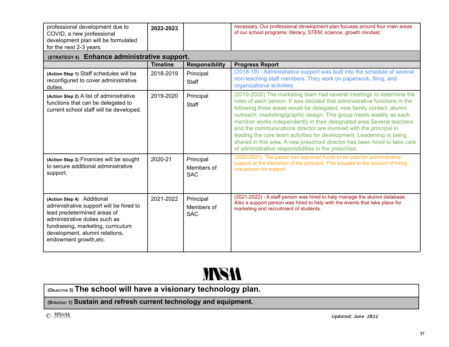| professional development due to<br>COVID, a new professional<br>development plan will be formulated<br>for the next 2-3 years.                                                                                                          | 2022-2023       |                                       | necessary. Our professional development plan focuses around four main areas<br>of our school programs: literacy, STEM, science, growth mindset.                                                                                                                                                                                                                                                                                                                                                                                                                                                                                                              |
|-----------------------------------------------------------------------------------------------------------------------------------------------------------------------------------------------------------------------------------------|-----------------|---------------------------------------|--------------------------------------------------------------------------------------------------------------------------------------------------------------------------------------------------------------------------------------------------------------------------------------------------------------------------------------------------------------------------------------------------------------------------------------------------------------------------------------------------------------------------------------------------------------------------------------------------------------------------------------------------------------|
| (STRATEGY 4) Enhance administrative support.                                                                                                                                                                                            |                 |                                       |                                                                                                                                                                                                                                                                                                                                                                                                                                                                                                                                                                                                                                                              |
|                                                                                                                                                                                                                                         | <b>Timeline</b> | <b>Responsibility</b>                 | <b>Progress Report</b>                                                                                                                                                                                                                                                                                                                                                                                                                                                                                                                                                                                                                                       |
| (Action Step 1) Staff schedules will be<br>reconfigured to cover administrative<br>duties.                                                                                                                                              | 2018-2019       | Principal<br>Staff                    | (2018-19) - Administrative support was built into the schedule of several<br>non-teaching staff members. They work on paperwork, filing, and<br>organizational activities.                                                                                                                                                                                                                                                                                                                                                                                                                                                                                   |
| (Action Step 2) A list of administrative<br>functions that can be delegated to<br>current school staff will be developed.                                                                                                               | 2019-2020       | Principal<br>Staff                    | (2019-2020) The marketing team had several meetings to determine the<br>roles of each person. It was decided that administrative functions in the<br>following three areas would be delegated: new family contact, alumni<br>outreach, marketing/graphic design. This group meets weekly as each<br>member works independently in their designated area.Several teachers<br>and the communications director are involved with the principal in<br>leading the core team activities for development. Leadership is being<br>shared in this area. A new preschool director has been hired to take care<br>of administrative responsibilities in the preschool. |
| (Action Step 3) Finances will be sought<br>to secure additional administrative<br>support.                                                                                                                                              | 2020-21         | Principal<br>Members of<br><b>SAC</b> | (2020-2021) The pastor has approved funds to be used for administrative<br>support at the discretion of the principal. This equates to the amount of hiring<br>one person for support.                                                                                                                                                                                                                                                                                                                                                                                                                                                                       |
| (Action Step 4) Additional<br>administrative support will be hired to<br>lead predetermined areas of<br>administrative duties such as<br>fundraising, marketing, curriculum<br>development, alumni relations,<br>endowment growth, etc. | 2021-2022       | Principal<br>Members of<br><b>SAC</b> | (2021-2022) - A staff person was hired to help manage the alumni database.<br>Also a support person was hired to help with the events that take place for<br>marketing and recruitment of students.                                                                                                                                                                                                                                                                                                                                                                                                                                                          |



**(OBJECTIVE 5) The school will have a visionary technology plan.**

**(STRATEGY 1) Sustain and refresh current technology and equipment.**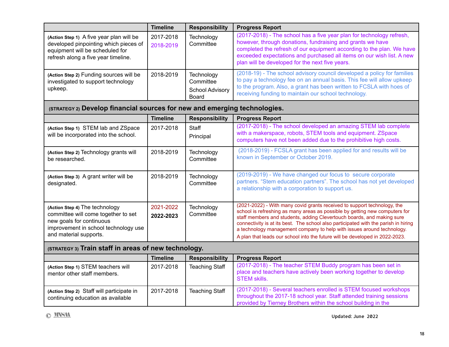|                                                                                                                                                                     | <b>Timeline</b>        | <b>Responsibility</b>                                             | <b>Progress Report</b>                                                                                                                                                                                                                                                                                                                                                                                                                                                             |  |
|---------------------------------------------------------------------------------------------------------------------------------------------------------------------|------------------------|-------------------------------------------------------------------|------------------------------------------------------------------------------------------------------------------------------------------------------------------------------------------------------------------------------------------------------------------------------------------------------------------------------------------------------------------------------------------------------------------------------------------------------------------------------------|--|
| (Action Step 1) A five year plan will be<br>developed pinpointing which pieces of<br>equipment will be scheduled for<br>refresh along a five year timeline.         | 2017-2018<br>2018-2019 | Technology<br>Committee                                           | (2017-2018) - The school has a five year plan for technology refresh,<br>however, through donations, fundraising and grants we have<br>completed the refresh of our equipment according to the plan. We have<br>exceeded expectations and purchased all items on our wish list. A new<br>plan will be developed for the next five years.                                                                                                                                           |  |
| (Action Step 2) Funding sources will be<br>investigated to support technology<br>upkeep.                                                                            | 2018-2019              | Technology<br>Committee<br><b>School Advisory</b><br><b>Board</b> | (2018-19) - The school advisory council developed a policy for families<br>to pay a technology fee on an annual basis. This fee will allow upkeep<br>to the program. Also, a grant has been written to FCSLA with hoes of<br>receiving funding to maintain our school technology.                                                                                                                                                                                                  |  |
| (STRATEGY 2) Develop financial sources for new and emerging technologies.                                                                                           |                        |                                                                   |                                                                                                                                                                                                                                                                                                                                                                                                                                                                                    |  |
|                                                                                                                                                                     | <b>Timeline</b>        | <b>Responsibility</b>                                             | <b>Progress Report</b>                                                                                                                                                                                                                                                                                                                                                                                                                                                             |  |
| (Action Step 1) STEM lab and ZSpace<br>will be incorporated into the school.                                                                                        | 2017-2018              | Staff<br>Principal                                                | (2017-2018) - The school developed an amazing STEM lab complete<br>with a makerspace, robots, STEM tools and equipment. ZSpace<br>computers have not been added due to the prohibitive high costs.                                                                                                                                                                                                                                                                                 |  |
| (Action Step 2) Technology grants will<br>be researched.                                                                                                            | 2018-2019              | Technology<br>Committee                                           | (2018-2019) - FCSLA grant has been applied for and results will be<br>known in September or October 2019.                                                                                                                                                                                                                                                                                                                                                                          |  |
| (Action Step 3) A grant writer will be<br>designated.                                                                                                               | 2018-2019              | Technology<br>Committee                                           | (2019-2019) - We have changed our focus to secure corporate<br>partners. "Stem education partners". The school has not yet developed<br>a relationship with a corporation to support us.                                                                                                                                                                                                                                                                                           |  |
| (Action Step 4) The technology<br>committee will come together to set<br>new goals for continuous<br>improvement in school technology use<br>and material supports. | 2021-2022<br>2022-2023 | Technology<br>Committee                                           | (2021-2022) - With many covid grants received to support technology, the<br>school is refreshing as many areas as possible by getting new computers for<br>staff members and students, adding Clevertouch boards, and making sure<br>connectivity is at its best. The school also participated with the parish in hiring<br>a technology management company to help with issues around technology.<br>A plan that leads our school into the future will be developed in 2022-2023. |  |
| (STRATEGY 3) Train staff in areas of new technology.                                                                                                                |                        |                                                                   |                                                                                                                                                                                                                                                                                                                                                                                                                                                                                    |  |
|                                                                                                                                                                     | <b>Timeline</b>        | <b>Responsibility</b>                                             | <b>Progress Report</b>                                                                                                                                                                                                                                                                                                                                                                                                                                                             |  |
| (Action Step 1) STEM teachers will<br>mentor other staff members.                                                                                                   | 2017-2018              | <b>Teaching Staff</b>                                             | (2017-2018) - The teacher STEM Buddy program has been set in<br>place and teachers have actively been working together to develop<br><b>STEM skills.</b>                                                                                                                                                                                                                                                                                                                           |  |
| (Action Step 2) Staff will participate in<br>continuing education as available                                                                                      | 2017-2018              | <b>Teaching Staff</b>                                             | (2017-2018) - Several teachers enrolled is STEM focused workshops<br>throughout the 2017-18 school year. Staff attended training sessions<br>provided by Tierney Brothers within the school building in the                                                                                                                                                                                                                                                                        |  |